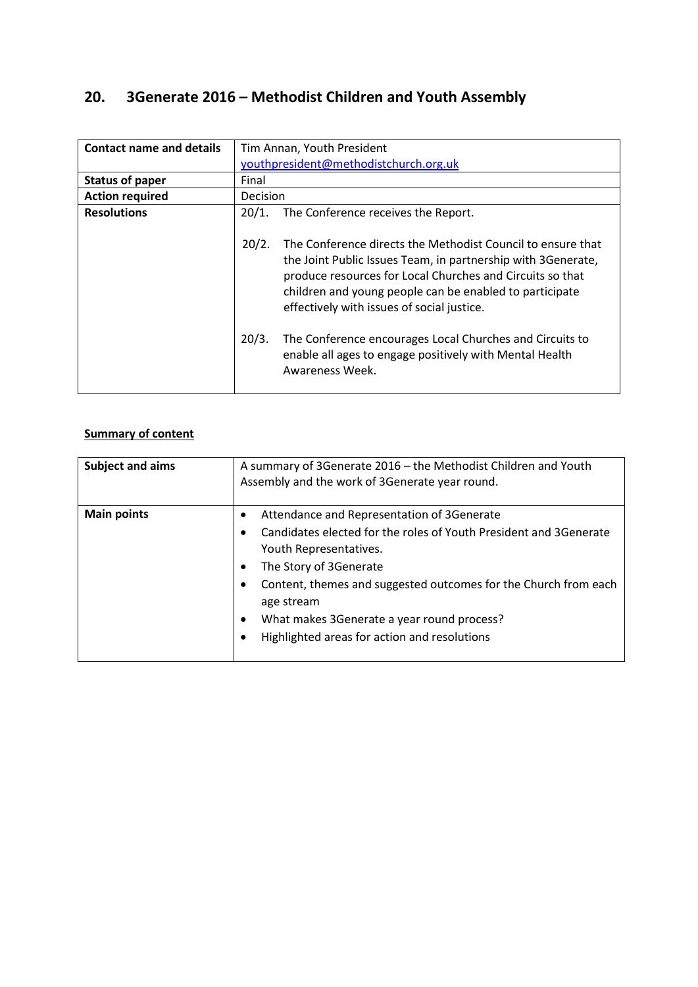# **20. 3Generate 2016 – Methodist Children and Youth Assembly**

| <b>Contact name and details</b> | Tim Annan, Youth President                                                                                                                                                                                                                                                                                                                                                                                                                                    |  |  |
|---------------------------------|---------------------------------------------------------------------------------------------------------------------------------------------------------------------------------------------------------------------------------------------------------------------------------------------------------------------------------------------------------------------------------------------------------------------------------------------------------------|--|--|
|                                 | youthpresident@methodistchurch.org.uk                                                                                                                                                                                                                                                                                                                                                                                                                         |  |  |
| <b>Status of paper</b>          | Final                                                                                                                                                                                                                                                                                                                                                                                                                                                         |  |  |
| <b>Action required</b>          | Decision                                                                                                                                                                                                                                                                                                                                                                                                                                                      |  |  |
| <b>Resolutions</b>              | 20/1.<br>The Conference receives the Report.                                                                                                                                                                                                                                                                                                                                                                                                                  |  |  |
|                                 | 20/2.<br>The Conference directs the Methodist Council to ensure that<br>the Joint Public Issues Team, in partnership with 3Generate,<br>produce resources for Local Churches and Circuits so that<br>children and young people can be enabled to participate<br>effectively with issues of social justice.<br>20/3.<br>The Conference encourages Local Churches and Circuits to<br>enable all ages to engage positively with Mental Health<br>Awareness Week. |  |  |

# **Summary of content**

| <b>Subject and aims</b> | A summary of 3Generate 2016 - the Methodist Children and Youth<br>Assembly and the work of 3Generate year round.                                                                                                                                                                                                                                   |  |
|-------------------------|----------------------------------------------------------------------------------------------------------------------------------------------------------------------------------------------------------------------------------------------------------------------------------------------------------------------------------------------------|--|
| <b>Main points</b>      | Attendance and Representation of 3Generate<br>Candidates elected for the roles of Youth President and 3Generate<br>Youth Representatives.<br>The Story of 3Generate<br>Content, themes and suggested outcomes for the Church from each<br>age stream<br>What makes 3Generate a year round process?<br>Highlighted areas for action and resolutions |  |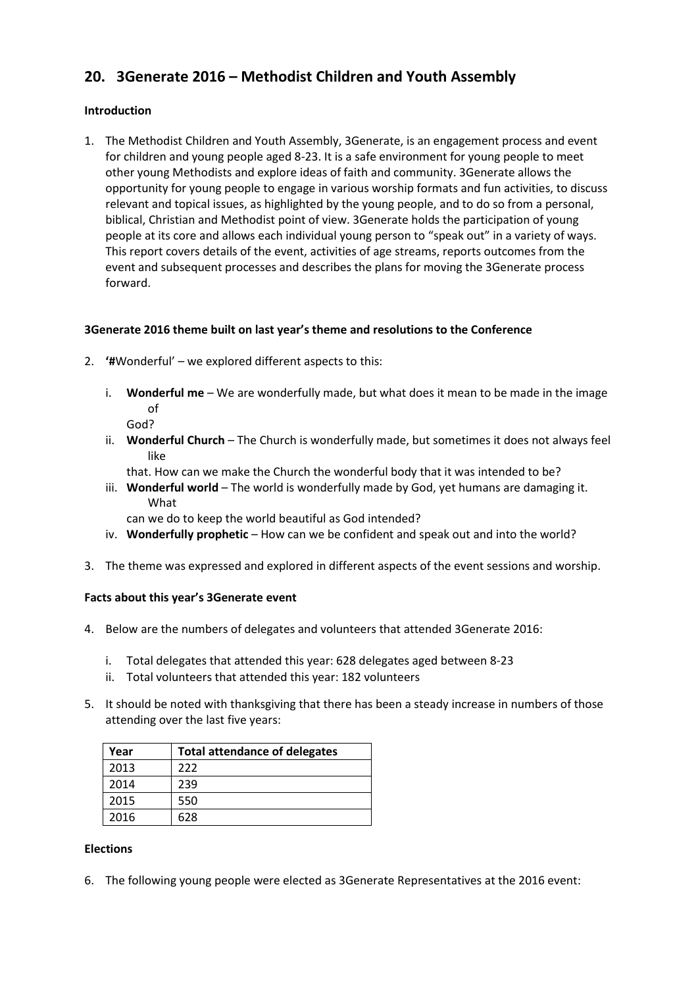# **20. 3Generate 2016 – Methodist Children and Youth Assembly**

## **Introduction**

1. The Methodist Children and Youth Assembly, 3Generate, is an engagement process and event for children and young people aged 8-23. It is a safe environment for young people to meet other young Methodists and explore ideas of faith and community. 3Generate allows the opportunity for young people to engage in various worship formats and fun activities, to discuss relevant and topical issues, as highlighted by the young people, and to do so from a personal, biblical, Christian and Methodist point of view. 3Generate holds the participation of young people at its core and allows each individual young person to "speak out" in a variety of ways. This report covers details of the event, activities of age streams, reports outcomes from the event and subsequent processes and describes the plans for moving the 3Generate process forward.

# **3Generate 2016 theme built on last year's theme and resolutions to the Conference**

- 2. **'#**Wonderful' we explored different aspects to this:
	- i. **Wonderful me** We are wonderfully made, but what does it mean to be made in the image of
		- God?
	- ii. **Wonderful Church** The Church is wonderfully made, but sometimes it does not always feel like
		- that. How can we make the Church the wonderful body that it was intended to be?
	- iii. **Wonderful world** The world is wonderfully made by God, yet humans are damaging it. What

can we do to keep the world beautiful as God intended?

- iv. **Wonderfully prophetic** How can we be confident and speak out and into the world?
- 3. The theme was expressed and explored in different aspects of the event sessions and worship.

### **Facts about this year's 3Generate event**

- 4. Below are the numbers of delegates and volunteers that attended 3Generate 2016:
	- i. Total delegates that attended this year: 628 delegates aged between 8-23
	- ii. Total volunteers that attended this year: 182 volunteers
- 5. It should be noted with thanksgiving that there has been a steady increase in numbers of those attending over the last five years:

| Year | <b>Total attendance of delegates</b> |
|------|--------------------------------------|
| 2013 | 222                                  |
| 2014 | 239                                  |
| 2015 | 550                                  |
| 2016 | 628                                  |

#### **Elections**

6. The following young people were elected as 3Generate Representatives at the 2016 event: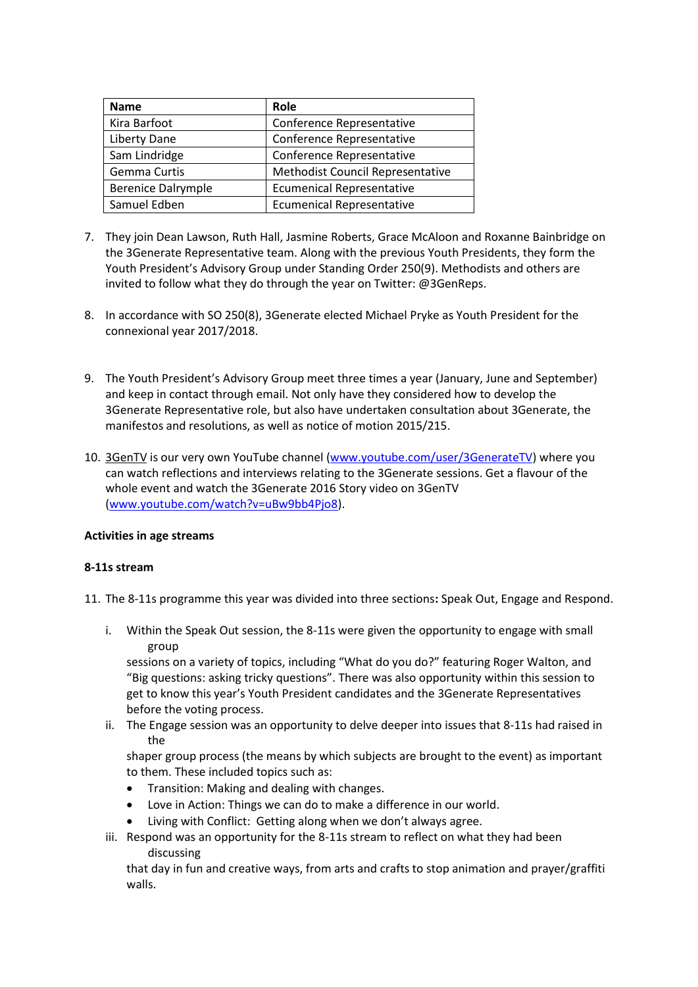| Name                      | Role                             |
|---------------------------|----------------------------------|
| Kira Barfoot              | Conference Representative        |
| Liberty Dane              | Conference Representative        |
| Sam Lindridge             | Conference Representative        |
| Gemma Curtis              | Methodist Council Representative |
| <b>Berenice Dalrymple</b> | <b>Ecumenical Representative</b> |
| Samuel Edben              | <b>Ecumenical Representative</b> |

- 7. They join Dean Lawson, Ruth Hall, Jasmine Roberts, Grace McAloon and Roxanne Bainbridge on the 3Generate Representative team. Along with the previous Youth Presidents, they form the Youth President's Advisory Group under Standing Order 250(9). Methodists and others are invited to follow what they do through the year on Twitter: @3GenReps.
- 8. In accordance with SO 250(8), 3Generate elected Michael Pryke as Youth President for the connexional year 2017/2018.
- 9. The Youth President's Advisory Group meet three times a year (January, June and September) and keep in contact through email. Not only have they considered how to develop the 3Generate Representative role, but also have undertaken consultation about 3Generate, the manifestos and resolutions, as well as notice of motion 2015/215.
- 10. 3GenTV is our very own YouTube channel [\(www.youtube.com/user/3GenerateTV\)](http://www.youtube.com/user/3GenerateTV) where you can watch reflections and interviews relating to the 3Generate sessions. Get a flavour of the whole event and watch the 3Generate 2016 Story video on 3GenTV [\(www.youtube.com/watch?v=uBw9bb4Pjo8\)](http://www.youtube.com/watch?v=uBw9bb4Pjo8).

#### **Activities in age streams**

#### **8-11s stream**

- 11. The 8-11s programme this year was divided into three sections**:** Speak Out, Engage and Respond.
	- i. Within the Speak Out session, the 8-11s were given the opportunity to engage with small group

sessions on a variety of topics, including "What do you do?" featuring Roger Walton, and "Big questions: asking tricky questions". There was also opportunity within this session to get to know this year's Youth President candidates and the 3Generate Representatives before the voting process.

ii. The Engage session was an opportunity to delve deeper into issues that 8-11s had raised in the

shaper group process (the means by which subjects are brought to the event) as important to them. These included topics such as:

- Transition: Making and dealing with changes.
- Love in Action: Things we can do to make a difference in our world.
- Living with Conflict: Getting along when we don't always agree.
- iii. Respond was an opportunity for the 8-11s stream to reflect on what they had been discussing

that day in fun and creative ways, from arts and crafts to stop animation and prayer/graffiti walls.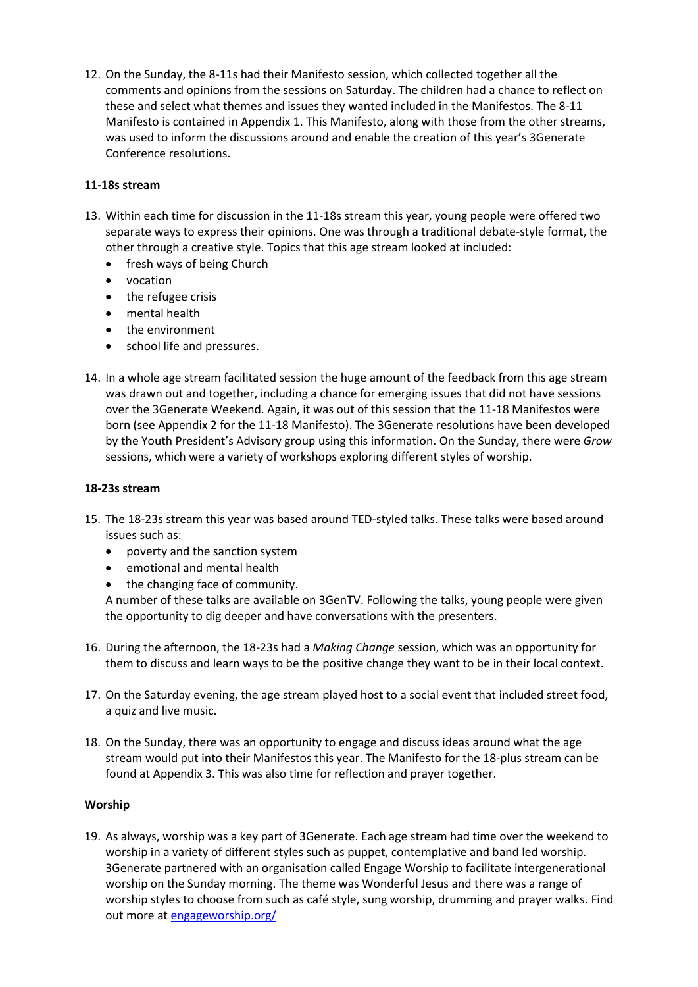12. On the Sunday, the 8-11s had their Manifesto session, which collected together all the comments and opinions from the sessions on Saturday. The children had a chance to reflect on these and select what themes and issues they wanted included in the Manifestos. The 8-11 Manifesto is contained in Appendix 1. This Manifesto, along with those from the other streams, was used to inform the discussions around and enable the creation of this year's 3Generate Conference resolutions.

## **11-18s stream**

- 13. Within each time for discussion in the 11-18s stream this year, young people were offered two separate ways to express their opinions. One was through a traditional debate-style format, the other through a creative style. Topics that this age stream looked at included:
	- fresh ways of being Church
	- vocation
	- the refugee crisis
	- mental health
	- the environment
	- school life and pressures.
- 14. In a whole age stream facilitated session the huge amount of the feedback from this age stream was drawn out and together, including a chance for emerging issues that did not have sessions over the 3Generate Weekend. Again, it was out of this session that the 11-18 Manifestos were born (see Appendix 2 for the 11-18 Manifesto). The 3Generate resolutions have been developed by the Youth President's Advisory group using this information. On the Sunday, there were *Grow*  sessions, which were a variety of workshops exploring different styles of worship.

#### **18-23s stream**

- 15. The 18-23s stream this year was based around TED-styled talks. These talks were based around issues such as:
	- poverty and the sanction system
	- emotional and mental health
	- the changing face of community.

A number of these talks are available on 3GenTV. Following the talks, young people were given the opportunity to dig deeper and have conversations with the presenters.

- 16. During the afternoon, the 18-23s had a *Making Change* session, which was an opportunity for them to discuss and learn ways to be the positive change they want to be in their local context.
- 17. On the Saturday evening, the age stream played host to a social event that included street food, a quiz and live music.
- 18. On the Sunday, there was an opportunity to engage and discuss ideas around what the age stream would put into their Manifestos this year. The Manifesto for the 18-plus stream can be found at Appendix 3. This was also time for reflection and prayer together.

#### **Worship**

19. As always, worship was a key part of 3Generate. Each age stream had time over the weekend to worship in a variety of different styles such as puppet, contemplative and band led worship. 3Generate partnered with an organisation called Engage Worship to facilitate intergenerational worship on the Sunday morning. The theme was Wonderful Jesus and there was a range of worship styles to choose from such as café style, sung worship, drumming and prayer walks. Find out more a[t engageworship.org/](https://engageworship.org/)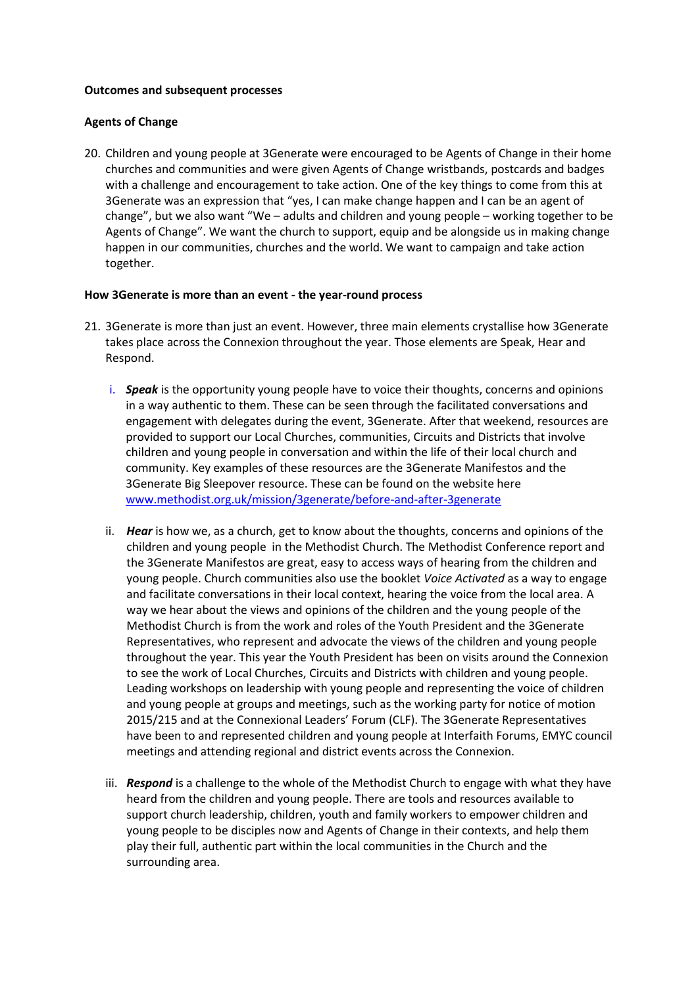#### **Outcomes and subsequent processes**

#### **Agents of Change**

20. Children and young people at 3Generate were encouraged to be Agents of Change in their home churches and communities and were given Agents of Change wristbands, postcards and badges with a challenge and encouragement to take action. One of the key things to come from this at 3Generate was an expression that "yes, I can make change happen and I can be an agent of change", but we also want "We – adults and children and young people – working together to be Agents of Change". We want the church to support, equip and be alongside us in making change happen in our communities, churches and the world. We want to campaign and take action together.

#### **How 3Generate is more than an event - the year-round process**

- 21. 3Generate is more than just an event. However, three main elements crystallise how 3Generate takes place across the Connexion throughout the year. Those elements are Speak, Hear and Respond.
	- i. *Speak* is the opportunity young people have to voice their thoughts, concerns and opinions in a way authentic to them. These can be seen through the facilitated conversations and engagement with delegates during the event, 3Generate. After that weekend, resources are provided to support our Local Churches, communities, Circuits and Districts that involve children and young people in conversation and within the life of their local church and community. Key examples of these resources are the 3Generate Manifestos and the 3Generate Big Sleepover resource. These can be found on the website here [www.methodist.org.uk/mission/3generate/before-and-after-3generate](http://www.methodist.org.uk/mission/3generate/before-and-after-3generate)
	- ii. *Hear* is how we, as a church, get to know about the thoughts, concerns and opinions of the children and young people in the Methodist Church. The Methodist Conference report and the 3Generate Manifestos are great, easy to access ways of hearing from the children and young people. Church communities also use the booklet *Voice Activated* as a way to engage and facilitate conversations in their local context, hearing the voice from the local area. A way we hear about the views and opinions of the children and the young people of the Methodist Church is from the work and roles of the Youth President and the 3Generate Representatives, who represent and advocate the views of the children and young people throughout the year. This year the Youth President has been on visits around the Connexion to see the work of Local Churches, Circuits and Districts with children and young people. Leading workshops on leadership with young people and representing the voice of children and young people at groups and meetings, such as the working party for notice of motion 2015/215 and at the Connexional Leaders' Forum (CLF). The 3Generate Representatives have been to and represented children and young people at Interfaith Forums, EMYC council meetings and attending regional and district events across the Connexion.
	- iii. *Respond* is a challenge to the whole of the Methodist Church to engage with what they have heard from the children and young people. There are tools and resources available to support church leadership, children, youth and family workers to empower children and young people to be disciples now and Agents of Change in their contexts, and help them play their full, authentic part within the local communities in the Church and the surrounding area.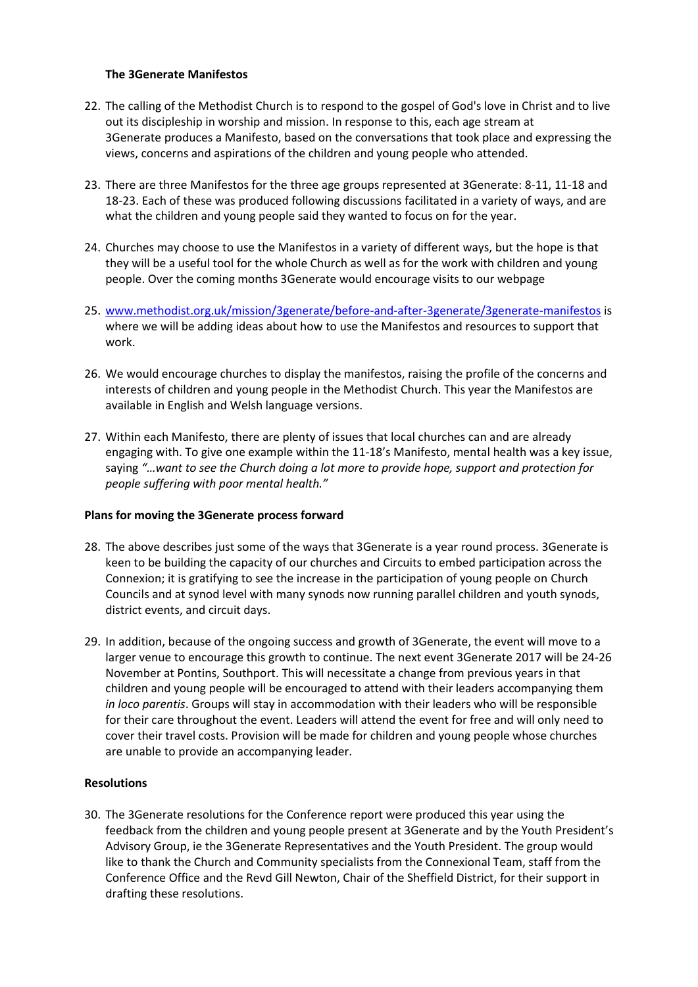#### **The 3Generate Manifestos**

- 22. The calling of the Methodist Church is to respond to the gospel of God's love in Christ and to live out its discipleship in worship and mission. In response to this, each age stream at 3Generate produces a Manifesto, based on the conversations that took place and expressing the views, concerns and aspirations of the children and young people who attended.
- 23. There are three Manifestos for the three age groups represented at 3Generate: 8-11, 11-18 and 18-23. Each of these was produced following discussions facilitated in a variety of ways, and are what the children and young people said they wanted to focus on for the year.
- 24. Churches may choose to use the Manifestos in a variety of different ways, but the hope is that they will be a useful tool for the whole Church as well as for the work with children and young people. Over the coming months 3Generate would encourage visits to our webpage
- 25. [www.methodist.org.uk/mission/3generate/before-and-after-3generate/3generate-manifestos](http://www.methodist.org.uk/mission/3generate/before-and-after-3generate/3generate-manifestos) is where we will be adding ideas about how to use the Manifestos and resources to support that work.
- 26. We would encourage churches to display the manifestos, raising the profile of the concerns and interests of children and young people in the Methodist Church. This year the Manifestos are available in English and Welsh language versions.
- 27. Within each Manifesto, there are plenty of issues that local churches can and are already engaging with. To give one example within the 11-18's Manifesto, mental health was a key issue, saying *"…want to see the Church doing a lot more to provide hope, support and protection for people suffering with poor mental health."*

#### **Plans for moving the 3Generate process forward**

- 28. The above describes just some of the ways that 3Generate is a year round process. 3Generate is keen to be building the capacity of our churches and Circuits to embed participation across the Connexion; it is gratifying to see the increase in the participation of young people on Church Councils and at synod level with many synods now running parallel children and youth synods, district events, and circuit days.
- 29. In addition, because of the ongoing success and growth of 3Generate, the event will move to a larger venue to encourage this growth to continue. The next event 3Generate 2017 will be 24-26 November at Pontins, Southport. This will necessitate a change from previous years in that children and young people will be encouraged to attend with their leaders accompanying them *in loco parentis*. Groups will stay in accommodation with their leaders who will be responsible for their care throughout the event. Leaders will attend the event for free and will only need to cover their travel costs. Provision will be made for children and young people whose churches are unable to provide an accompanying leader.

#### **Resolutions**

30. The 3Generate resolutions for the Conference report were produced this year using the feedback from the children and young people present at 3Generate and by the Youth President's Advisory Group, ie the 3Generate Representatives and the Youth President. The group would like to thank the Church and Community specialists from the Connexional Team, staff from the Conference Office and the Revd Gill Newton, Chair of the Sheffield District, for their support in drafting these resolutions.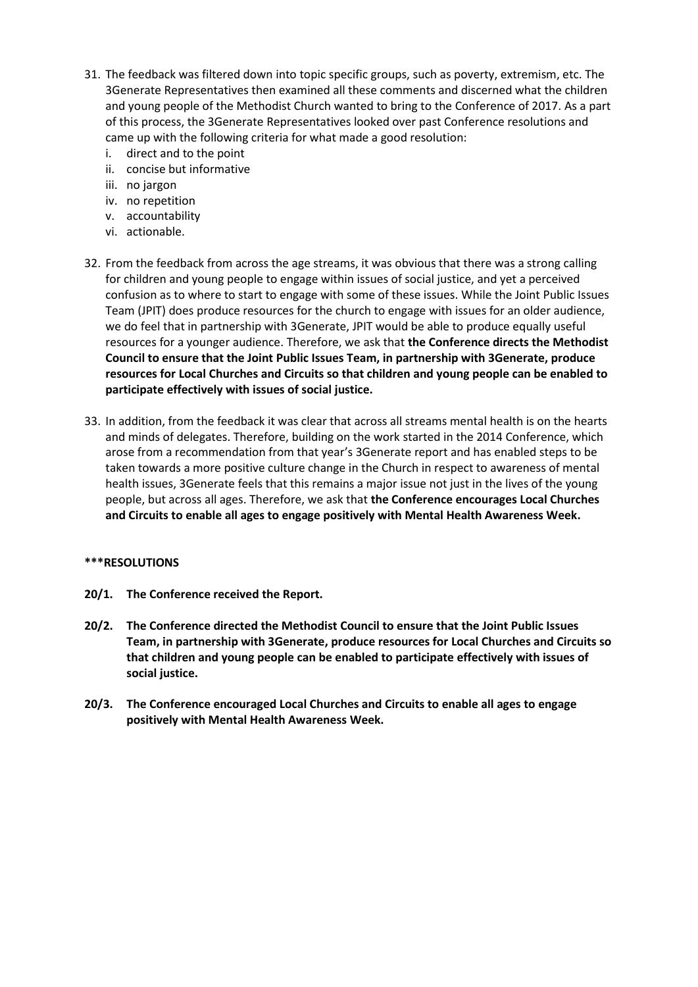- 31. The feedback was filtered down into topic specific groups, such as poverty, extremism, etc. The 3Generate Representatives then examined all these comments and discerned what the children and young people of the Methodist Church wanted to bring to the Conference of 2017. As a part of this process, the 3Generate Representatives looked over past Conference resolutions and came up with the following criteria for what made a good resolution:
	- i. direct and to the point
	- ii. concise but informative
	- iii. no jargon
	- iv. no repetition
	- v. accountability
	- vi. actionable.
- 32. From the feedback from across the age streams, it was obvious that there was a strong calling for children and young people to engage within issues of social justice, and yet a perceived confusion as to where to start to engage with some of these issues. While the Joint Public Issues Team (JPIT) does produce resources for the church to engage with issues for an older audience, we do feel that in partnership with 3Generate, JPIT would be able to produce equally useful resources for a younger audience. Therefore, we ask that **the Conference directs the Methodist Council to ensure that the Joint Public Issues Team, in partnership with 3Generate, produce resources for Local Churches and Circuits so that children and young people can be enabled to participate effectively with issues of social justice.**
- 33. In addition, from the feedback it was clear that across all streams mental health is on the hearts and minds of delegates. Therefore, building on the work started in the 2014 Conference, which arose from a recommendation from that year's 3Generate report and has enabled steps to be taken towards a more positive culture change in the Church in respect to awareness of mental health issues, 3Generate feels that this remains a major issue not just in the lives of the young people, but across all ages. Therefore, we ask that **the Conference encourages Local Churches and Circuits to enable all ages to engage positively with Mental Health Awareness Week.**

#### **\*\*\*RESOLUTIONS**

- **20/1. The Conference received the Report.**
- **20/2. The Conference directed the Methodist Council to ensure that the Joint Public Issues Team, in partnership with 3Generate, produce resources for Local Churches and Circuits so that children and young people can be enabled to participate effectively with issues of social justice.**
- **20/3. The Conference encouraged Local Churches and Circuits to enable all ages to engage positively with Mental Health Awareness Week.**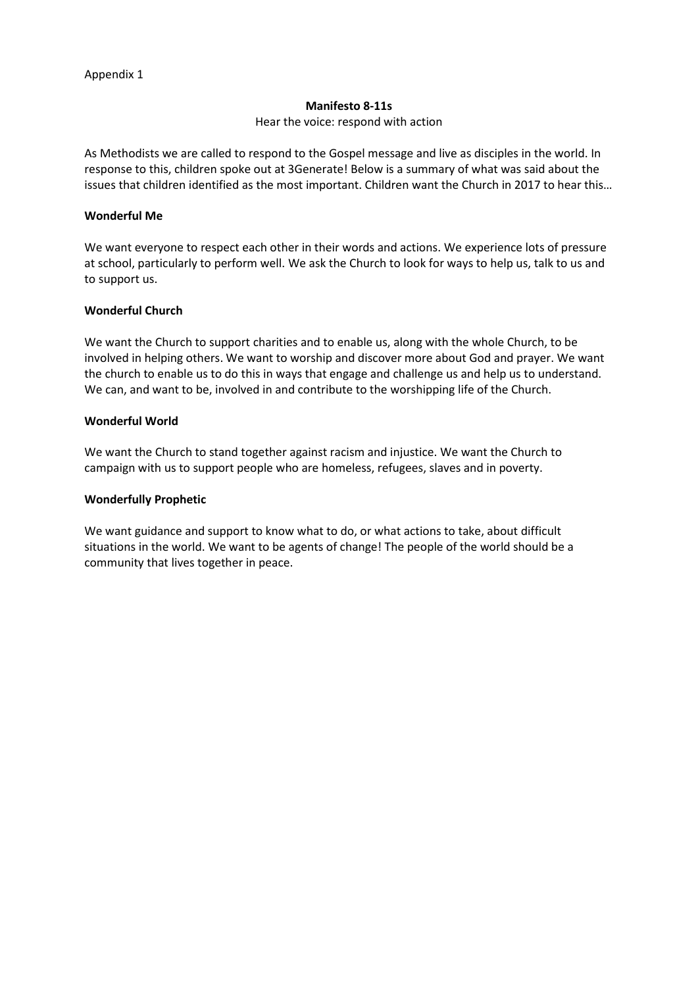#### **Manifesto 8-11s**

#### Hear the voice: respond with action

As Methodists we are called to respond to the Gospel message and live as disciples in the world. In response to this, children spoke out at 3Generate! Below is a summary of what was said about the issues that children identified as the most important. Children want the Church in 2017 to hear this…

#### **Wonderful Me**

We want everyone to respect each other in their words and actions. We experience lots of pressure at school, particularly to perform well. We ask the Church to look for ways to help us, talk to us and to support us.

#### **Wonderful Church**

We want the Church to support charities and to enable us, along with the whole Church, to be involved in helping others. We want to worship and discover more about God and prayer. We want the church to enable us to do this in ways that engage and challenge us and help us to understand. We can, and want to be, involved in and contribute to the worshipping life of the Church.

#### **Wonderful World**

We want the Church to stand together against racism and injustice. We want the Church to campaign with us to support people who are homeless, refugees, slaves and in poverty.

#### **Wonderfully Prophetic**

We want guidance and support to know what to do, or what actions to take, about difficult situations in the world. We want to be agents of change! The people of the world should be a community that lives together in peace.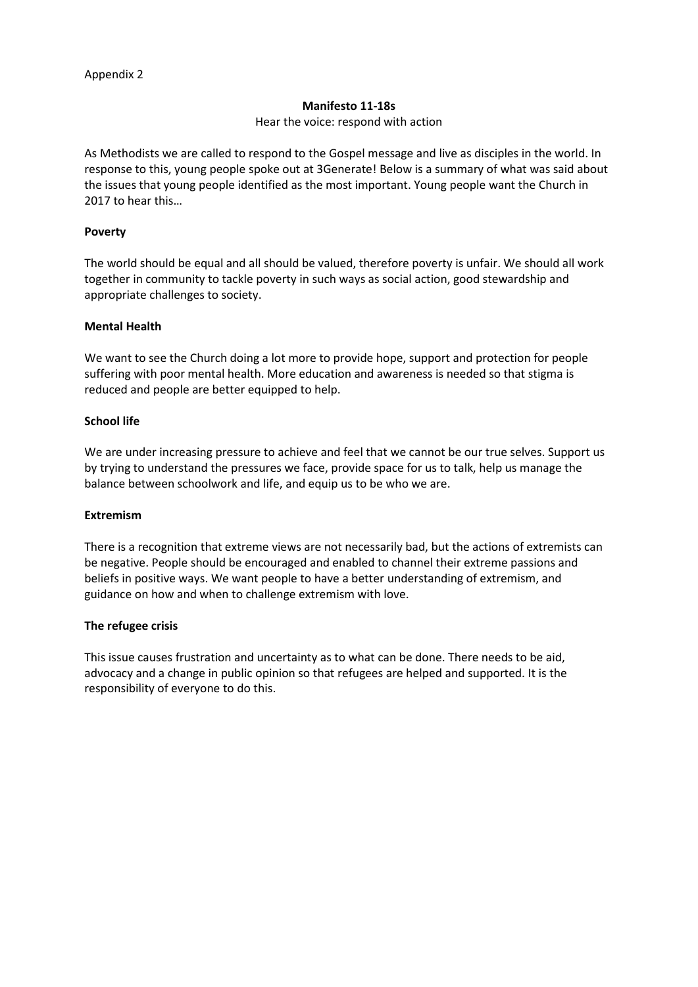#### **Manifesto 11-18s**

#### Hear the voice: respond with action

As Methodists we are called to respond to the Gospel message and live as disciples in the world. In response to this, young people spoke out at 3Generate! Below is a summary of what was said about the issues that young people identified as the most important. Young people want the Church in 2017 to hear this…

#### **Poverty**

The world should be equal and all should be valued, therefore poverty is unfair. We should all work together in community to tackle poverty in such ways as social action, good stewardship and appropriate challenges to society.

#### **Mental Health**

We want to see the Church doing a lot more to provide hope, support and protection for people suffering with poor mental health. More education and awareness is needed so that stigma is reduced and people are better equipped to help.

#### **School life**

We are under increasing pressure to achieve and feel that we cannot be our true selves. Support us by trying to understand the pressures we face, provide space for us to talk, help us manage the balance between schoolwork and life, and equip us to be who we are.

#### **Extremism**

There is a recognition that extreme views are not necessarily bad, but the actions of extremists can be negative. People should be encouraged and enabled to channel their extreme passions and beliefs in positive ways. We want people to have a better understanding of extremism, and guidance on how and when to challenge extremism with love.

#### **The refugee crisis**

This issue causes frustration and uncertainty as to what can be done. There needs to be aid, advocacy and a change in public opinion so that refugees are helped and supported. It is the responsibility of everyone to do this.